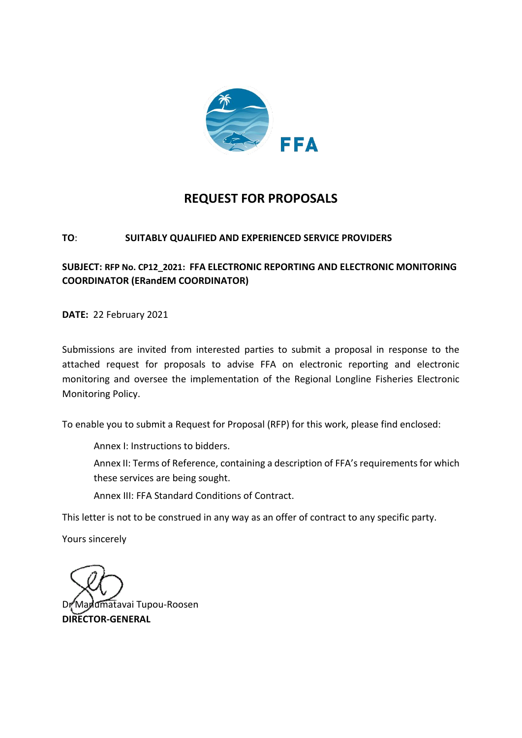

# **REQUEST FOR PROPOSALS**

## **TO**: **SUITABLY QUALIFIED AND EXPERIENCED SERVICE PROVIDERS**

## **SUBJECT: RFP No. CP12\_2021: FFA ELECTRONIC REPORTING AND ELECTRONIC MONITORING COORDINATOR (ERandEM COORDINATOR)**

**DATE:** 22 February 2021

Submissions are invited from interested parties to submit a proposal in response to the attached request for proposals to advise FFA on electronic reporting and electronic monitoring and oversee the implementation of the Regional Longline Fisheries Electronic Monitoring Policy.

To enable you to submit a Request for Proposal (RFP) for this work, please find enclosed:

Annex I: Instructions to bidders.

Annex II: Terms of Reference, containing a description of FFA's requirements for which these services are being sought.

Annex III: FFA Standard Conditions of Contract.

This letter is not to be construed in any way as an offer of contract to any specific party.

Yours sincerely

umatavai Tupou-Roosen **DIRECTOR-GENERAL**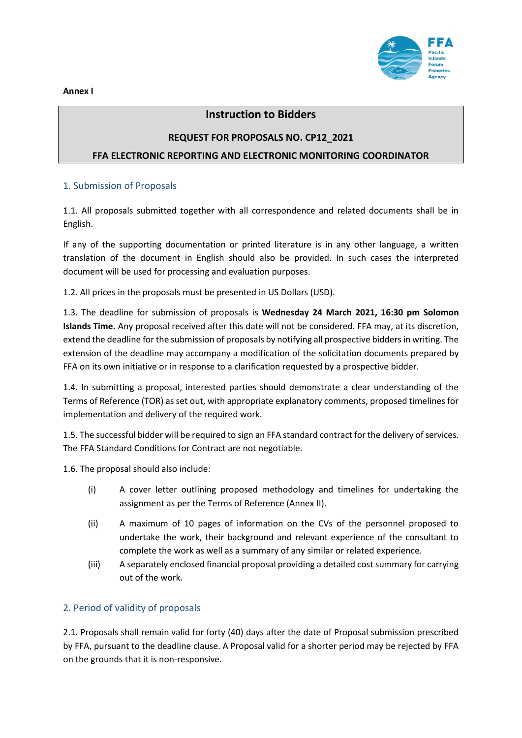**Annex I** 



## **Instruction to Bidders**

# **REQUEST FOR PROPOSALS NO. CP12\_2021**

#### **FFA ELECTRONIC REPORTING AND ELECTRONIC MONITORING COORDINATOR**

#### 1. Submission of Proposals

1.1. All proposals submitted together with all correspondence and related documents shall be in English.

If any of the supporting documentation or printed literature is in any other language, a written translation of the document in English should also be provided. In such cases the interpreted document will be used for processing and evaluation purposes.

1.2. All prices in the proposals must be presented in US Dollars (USD).

1.3. The deadline for submission of proposals is **Wednesday 24 March 2021, 16:30 pm Solomon Islands Time.** Any proposal received after this date will not be considered. FFA may, at its discretion, extend the deadline for the submission of proposals by notifying all prospective bidders in writing. The extension of the deadline may accompany a modification of the solicitation documents prepared by FFA on its own initiative or in response to a clarification requested by a prospective bidder.

1.4. In submitting a proposal, interested parties should demonstrate a clear understanding of the Terms of Reference (TOR) as set out, with appropriate explanatory comments, proposed timelines for implementation and delivery of the required work.

1.5. The successful bidder will be required to sign an FFA standard contract for the delivery of services. The FFA Standard Conditions for Contract are not negotiable.

1.6. The proposal should also include:

- (i) A cover letter outlining proposed methodology and timelines for undertaking the assignment as per the Terms of Reference (Annex II).
- (ii) A maximum of 10 pages of information on the CVs of the personnel proposed to undertake the work, their background and relevant experience of the consultant to complete the work as well as a summary of any similar or related experience.
- (iii) A separately enclosed financial proposal providing a detailed cost summary for carrying out of the work.

#### 2. Period of validity of proposals

2.1. Proposals shall remain valid for forty (40) days after the date of Proposal submission prescribed by FFA, pursuant to the deadline clause. A Proposal valid for a shorter period may be rejected by FFA on the grounds that it is non-responsive.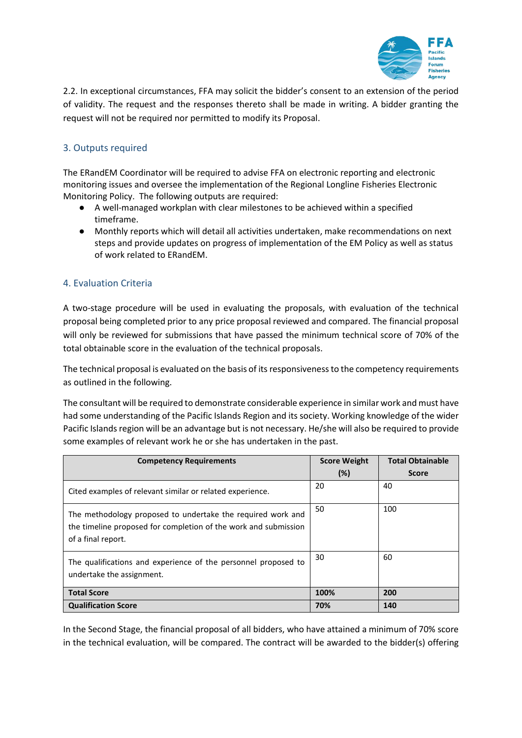

2.2. In exceptional circumstances, FFA may solicit the bidder's consent to an extension of the period of validity. The request and the responses thereto shall be made in writing. A bidder granting the request will not be required nor permitted to modify its Proposal.

## 3. Outputs required

The ERandEM Coordinator will be required to advise FFA on electronic reporting and electronic monitoring issues and oversee the implementation of the Regional Longline Fisheries Electronic Monitoring Policy. The following outputs are required:

- A well-managed workplan with clear milestones to be achieved within a specified timeframe.
- Monthly reports which will detail all activities undertaken, make recommendations on next steps and provide updates on progress of implementation of the EM Policy as well as status of work related to ERandEM.

### 4. Evaluation Criteria

A two-stage procedure will be used in evaluating the proposals, with evaluation of the technical proposal being completed prior to any price proposal reviewed and compared. The financial proposal will only be reviewed for submissions that have passed the minimum technical score of 70% of the total obtainable score in the evaluation of the technical proposals.

The technical proposal is evaluated on the basis of its responsiveness to the competency requirements as outlined in the following.

The consultant will be required to demonstrate considerable experience in similar work and must have had some understanding of the Pacific Islands Region and its society. Working knowledge of the wider Pacific Islands region will be an advantage but is not necessary. He/she will also be required to provide some examples of relevant work he or she has undertaken in the past.

| <b>Competency Requirements</b>                                                                                                                       | <b>Score Weight</b> | <b>Total Obtainable</b> |
|------------------------------------------------------------------------------------------------------------------------------------------------------|---------------------|-------------------------|
|                                                                                                                                                      | (%)                 | <b>Score</b>            |
| Cited examples of relevant similar or related experience.                                                                                            | 20                  | 40                      |
| The methodology proposed to undertake the required work and<br>the timeline proposed for completion of the work and submission<br>of a final report. | 50                  | 100                     |
| The qualifications and experience of the personnel proposed to<br>undertake the assignment.                                                          | 30                  | 60                      |
| <b>Total Score</b>                                                                                                                                   | 100%                | 200                     |
| <b>Qualification Score</b>                                                                                                                           | 70%                 | 140                     |

In the Second Stage, the financial proposal of all bidders, who have attained a minimum of 70% score in the technical evaluation, will be compared. The contract will be awarded to the bidder(s) offering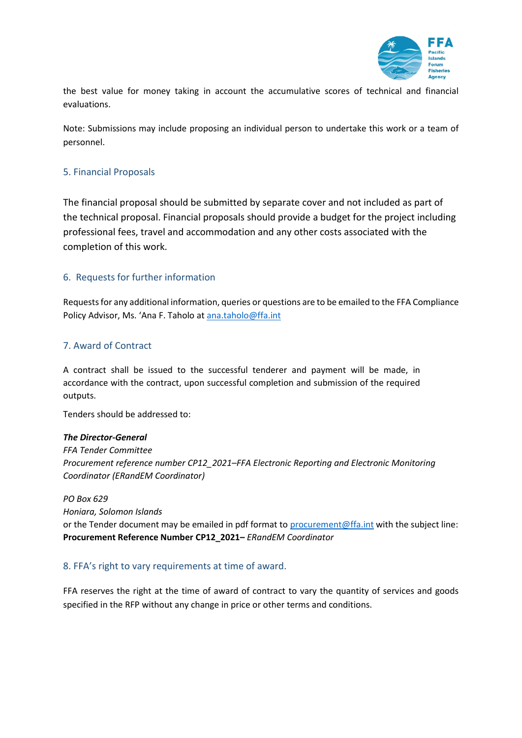

the best value for money taking in account the accumulative scores of technical and financial evaluations.

Note: Submissions may include proposing an individual person to undertake this work or a team of personnel.

### 5. Financial Proposals

The financial proposal should be submitted by separate cover and not included as part of the technical proposal. Financial proposals should provide a budget for the project including professional fees, travel and accommodation and any other costs associated with the completion of this work.

### 6. Requests for further information

Requests for any additional information, queries or questions are to be emailed to the FFA Compliance Policy Advisor, Ms. 'Ana F. Taholo at [ana.taholo@ffa.int](mailto:ana.taholo@ffa.int)

### 7. Award of Contract

A contract shall be issued to the successful tenderer and payment will be made, in accordance with the contract, upon successful completion and submission of the required outputs.

Tenders should be addressed to:

#### *The Director-General*

*FFA Tender Committee Procurement reference number CP12\_2021–FFA Electronic Reporting and Electronic Monitoring Coordinator (ERandEM Coordinator)*

*PO Box 629*

*Honiara, Solomon Islands*

or the Tender document may be emailed in pdf format to [procurement@ffa.int](mailto:procurement@ffa.int) with the subject line: **Procurement Reference Number CP12\_2021–** *ERandEM Coordinator* 

#### 8. FFA's right to vary requirements at time of award.

FFA reserves the right at the time of award of contract to vary the quantity of services and goods specified in the RFP without any change in price or other terms and conditions.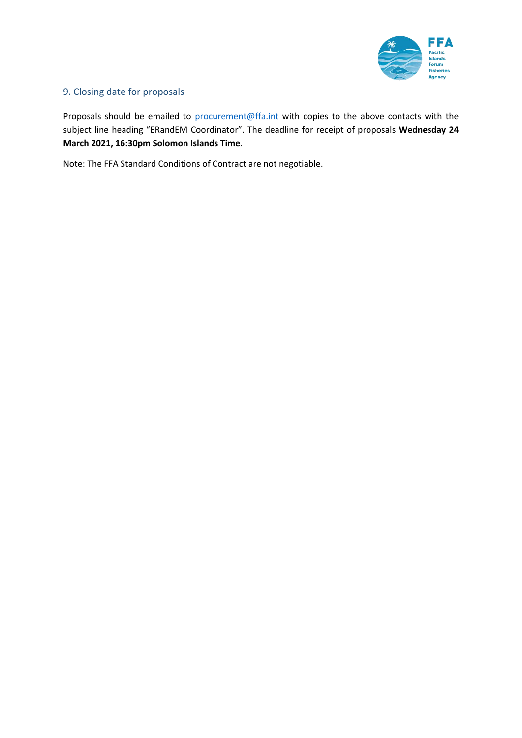

## 9. Closing date for proposals

Proposals should be emailed to [procurement@ffa.int](mailto:procurement@ffa.int) with copies to the above contacts with the subject line heading "ERandEM Coordinator". The deadline for receipt of proposals **Wednesday 24 March 2021, 16:30pm Solomon Islands Time**.

Note: The FFA Standard Conditions of Contract are not negotiable.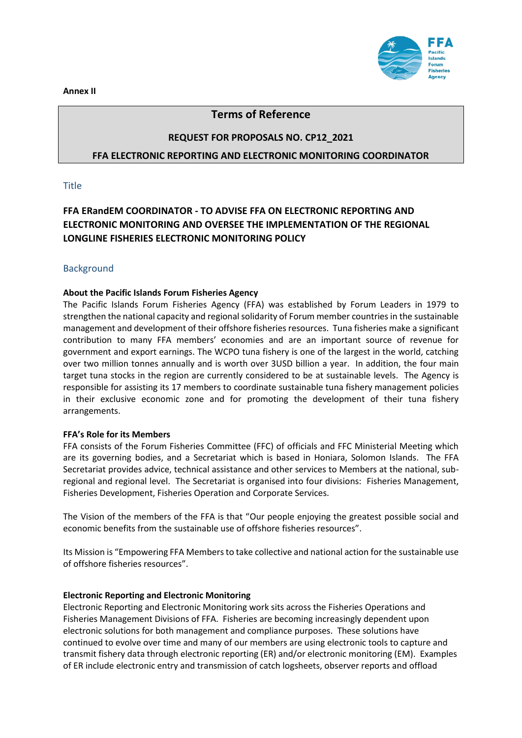**Annex II** 



## **Terms of Reference**

#### **REQUEST FOR PROPOSALS NO. CP12\_2021**

#### **FFA ELECTRONIC REPORTING AND ELECTRONIC MONITORING COORDINATOR**

#### **Title**

## **FFA ERandEM COORDINATOR - TO ADVISE FFA ON ELECTRONIC REPORTING AND ELECTRONIC MONITORING AND OVERSEE THE IMPLEMENTATION OF THE REGIONAL LONGLINE FISHERIES ELECTRONIC MONITORING POLICY**

#### **Background**

#### **About the Pacific Islands Forum Fisheries Agency**

The Pacific Islands Forum Fisheries Agency (FFA) was established by Forum Leaders in 1979 to strengthen the national capacity and regional solidarity of Forum member countries in the sustainable management and development of their offshore fisheries resources. Tuna fisheries make a significant contribution to many FFA members' economies and are an important source of revenue for government and export earnings. The WCPO tuna fishery is one of the largest in the world, catching over two million tonnes annually and is worth over 3USD billion a year. In addition, the four main target tuna stocks in the region are currently considered to be at sustainable levels. The Agency is responsible for assisting its 17 members to coordinate sustainable tuna fishery management policies in their exclusive economic zone and for promoting the development of their tuna fishery arrangements.

#### **FFA's Role for its Members**

FFA consists of the Forum Fisheries Committee (FFC) of officials and FFC Ministerial Meeting which are its governing bodies, and a Secretariat which is based in Honiara, Solomon Islands. The FFA Secretariat provides advice, technical assistance and other services to Members at the national, subregional and regional level. The Secretariat is organised into four divisions: Fisheries Management, Fisheries Development, Fisheries Operation and Corporate Services.

The Vision of the members of the FFA is that "Our people enjoying the greatest possible social and economic benefits from the sustainable use of offshore fisheries resources".

Its Mission is "Empowering FFA Members to take collective and national action for the sustainable use of offshore fisheries resources".

#### **Electronic Reporting and Electronic Monitoring**

Electronic Reporting and Electronic Monitoring work sits across the Fisheries Operations and Fisheries Management Divisions of FFA. Fisheries are becoming increasingly dependent upon electronic solutions for both management and compliance purposes. These solutions have continued to evolve over time and many of our members are using electronic tools to capture and transmit fishery data through electronic reporting (ER) and/or electronic monitoring (EM). Examples of ER include electronic entry and transmission of catch logsheets, observer reports and offload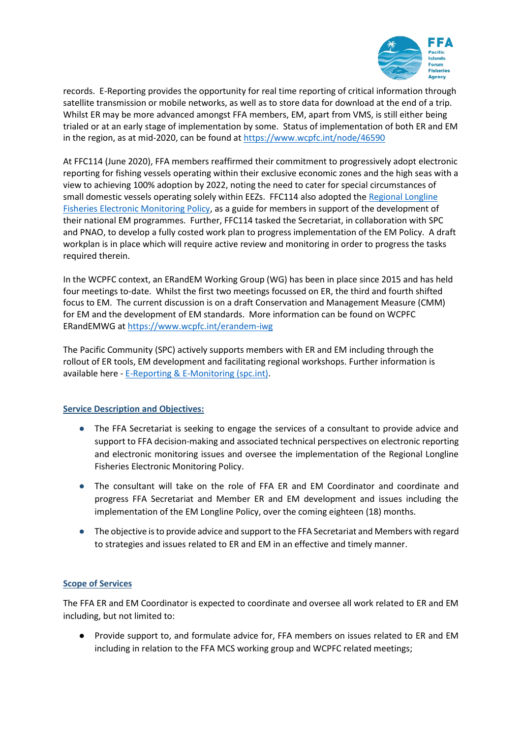

records. E-Reporting provides the opportunity for real time reporting of critical information through satellite transmission or mobile networks, as well as to store data for download at the end of a trip. Whilst ER may be more advanced amongst FFA members, EM, apart from VMS, is still either being trialed or at an early stage of implementation by some. Status of implementation of both ER and EM in the region, as at mid-2020, can be found at<https://www.wcpfc.int/node/46590>

At FFC114 (June 2020), FFA members reaffirmed their commitment to progressively adopt electronic reporting for fishing vessels operating within their exclusive economic zones and the high seas with a view to achieving 100% adoption by 2022, noting the need to cater for special circumstances of small domestic vessels operating solely within EEZs. FFC114 also adopted th[e Regional Longline](https://oceanfish.spc.int/en/meetingsworkshops/dcc/512-ll-em-compliance-data-and-transhipment-standards-workshop-2020)  [Fisheries Electronic Monitoring Policy,](https://oceanfish.spc.int/en/meetingsworkshops/dcc/512-ll-em-compliance-data-and-transhipment-standards-workshop-2020) as a guide for members in support of the development of their national EM programmes. Further, FFC114 tasked the Secretariat, in collaboration with SPC and PNAO, to develop a fully costed work plan to progress implementation of the EM Policy. A draft workplan is in place which will require active review and monitoring in order to progress the tasks required therein.

In the WCPFC context, an ERandEM Working Group (WG) has been in place since 2015 and has held four meetings to-date. Whilst the first two meetings focussed on ER, the third and fourth shifted focus to EM. The current discussion is on a draft Conservation and Management Measure (CMM) for EM and the development of EM standards. More information can be found on WCPFC ERandEMWG a[t https://www.wcpfc.int/erandem-iwg](https://www.wcpfc.int/erandem-iwg)

The Pacific Community (SPC) actively supports members with ER and EM including through the rollout of ER tools, EM development and facilitating regional workshops. Further information is available here - [E-Reporting & E-Monitoring \(spc.int\).](https://oceanfish.spc.int/en/meetingsworkshops/e-reporting-a-e-monitoring)

#### **Service Description and Objectives:**

- The FFA Secretariat is seeking to engage the services of a consultant to provide advice and support to FFA decision-making and associated technical perspectives on electronic reporting and electronic monitoring issues and oversee the implementation of the Regional Longline Fisheries Electronic Monitoring Policy.
- The consultant will take on the role of FFA ER and EM Coordinator and coordinate and progress FFA Secretariat and Member ER and EM development and issues including the implementation of the EM Longline Policy, over the coming eighteen (18) months.
- The objective is to provide advice and support to the FFA Secretariat and Members with regard to strategies and issues related to ER and EM in an effective and timely manner.

#### **Scope of Services**

The FFA ER and EM Coordinator is expected to coordinate and oversee all work related to ER and EM including, but not limited to:

● Provide support to, and formulate advice for, FFA members on issues related to ER and EM including in relation to the FFA MCS working group and WCPFC related meetings;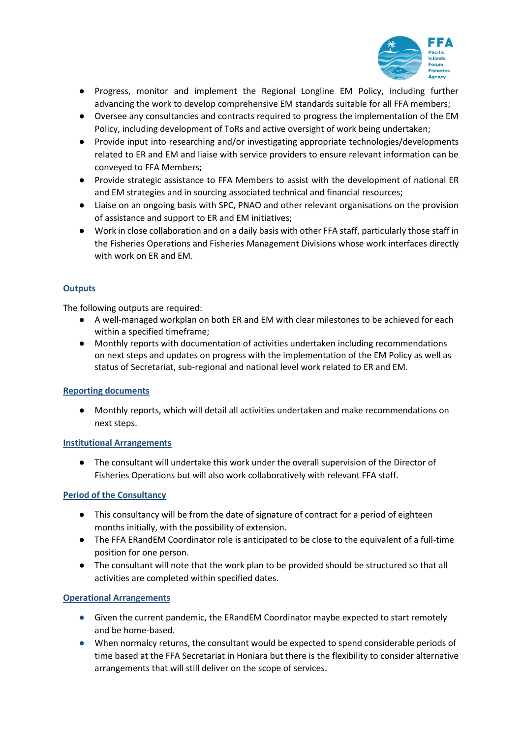

- Progress, monitor and implement the Regional Longline EM Policy, including further advancing the work to develop comprehensive EM standards suitable for all FFA members;
- Oversee any consultancies and contracts required to progress the implementation of the EM Policy, including development of ToRs and active oversight of work being undertaken;
- Provide input into researching and/or investigating appropriate technologies/developments related to ER and EM and liaise with service providers to ensure relevant information can be conveyed to FFA Members;
- Provide strategic assistance to FFA Members to assist with the development of national ER and EM strategies and in sourcing associated technical and financial resources;
- Liaise on an ongoing basis with SPC, PNAO and other relevant organisations on the provision of assistance and support to ER and EM initiatives;
- Work in close collaboration and on a daily basis with other FFA staff, particularly those staff in the Fisheries Operations and Fisheries Management Divisions whose work interfaces directly with work on ER and EM.

### **Outputs**

The following outputs are required:

- A well-managed workplan on both ER and EM with clear milestones to be achieved for each within a specified timeframe;
- Monthly reports with documentation of activities undertaken including recommendations on next steps and updates on progress with the implementation of the EM Policy as well as status of Secretariat, sub-regional and national level work related to ER and EM.

#### **Reporting documents**

● Monthly reports, which will detail all activities undertaken and make recommendations on next steps.

#### **Institutional Arrangements**

● The consultant will undertake this work under the overall supervision of the Director of Fisheries Operations but will also work collaboratively with relevant FFA staff.

#### **Period of the Consultancy**

- This consultancy will be from the date of signature of contract for a period of eighteen months initially, with the possibility of extension.
- The FFA ERandEM Coordinator role is anticipated to be close to the equivalent of a full-time position for one person.
- The consultant will note that the work plan to be provided should be structured so that all activities are completed within specified dates.

#### **Operational Arrangements**

- Given the current pandemic, the ERandEM Coordinator maybe expected to start remotely and be home-based.
- When normalcy returns, the consultant would be expected to spend considerable periods of time based at the FFA Secretariat in Honiara but there is the flexibility to consider alternative arrangements that will still deliver on the scope of services.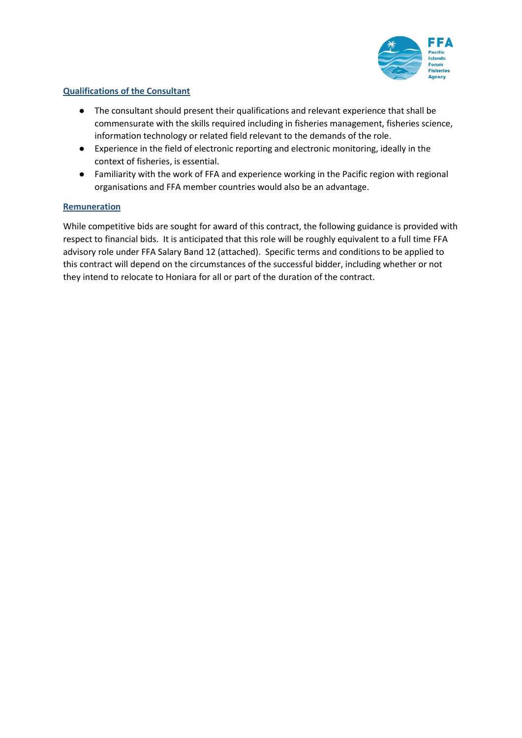

### **Qualifications of the Consultant**

- The consultant should present their qualifications and relevant experience that shall be commensurate with the skills required including in fisheries management, fisheries science, information technology or related field relevant to the demands of the role.
- Experience in the field of electronic reporting and electronic monitoring, ideally in the context of fisheries, is essential.
- Familiarity with the work of FFA and experience working in the Pacific region with regional organisations and FFA member countries would also be an advantage.

#### **Remuneration**

While competitive bids are sought for award of this contract, the following guidance is provided with respect to financial bids. It is anticipated that this role will be roughly equivalent to a full time FFA advisory role under FFA Salary Band 12 (attached). Specific terms and conditions to be applied to this contract will depend on the circumstances of the successful bidder, including whether or not they intend to relocate to Honiara for all or part of the duration of the contract.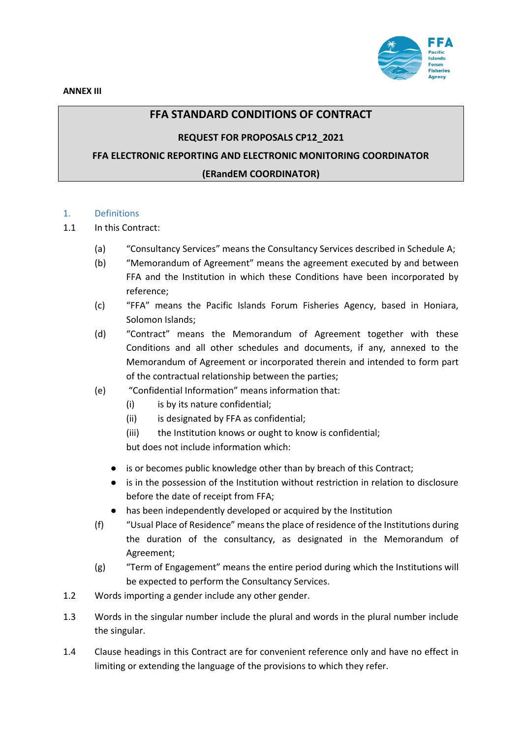

## **FFA STANDARD CONDITIONS OF CONTRACT**

#### **REQUEST FOR PROPOSALS CP12\_2021**

## **FFA ELECTRONIC REPORTING AND ELECTRONIC MONITORING COORDINATOR**

#### **(ERandEM COORDINATOR)**

#### 1. Definitions

#### 1.1 In this Contract:

- (a) "Consultancy Services" means the Consultancy Services described in Schedule A;
- (b) "Memorandum of Agreement" means the agreement executed by and between FFA and the Institution in which these Conditions have been incorporated by reference;
- (c) "FFA" means the Pacific Islands Forum Fisheries Agency, based in Honiara, Solomon Islands;
- (d) "Contract" means the Memorandum of Agreement together with these Conditions and all other schedules and documents, if any, annexed to the Memorandum of Agreement or incorporated therein and intended to form part of the contractual relationship between the parties;
- (e) "Confidential Information" means information that:
	- (i) is by its nature confidential;
	- (ii) is designated by FFA as confidential;
	- (iii) the Institution knows or ought to know is confidential;

but does not include information which:

- is or becomes public knowledge other than by breach of this Contract;
- is in the possession of the Institution without restriction in relation to disclosure before the date of receipt from FFA;
- has been independently developed or acquired by the Institution
- (f) "Usual Place of Residence" means the place of residence of the Institutions during the duration of the consultancy, as designated in the Memorandum of Agreement;
- (g) "Term of Engagement" means the entire period during which the Institutions will be expected to perform the Consultancy Services.
- 1.2 Words importing a gender include any other gender.
- 1.3 Words in the singular number include the plural and words in the plural number include the singular.
- 1.4 Clause headings in this Contract are for convenient reference only and have no effect in limiting or extending the language of the provisions to which they refer.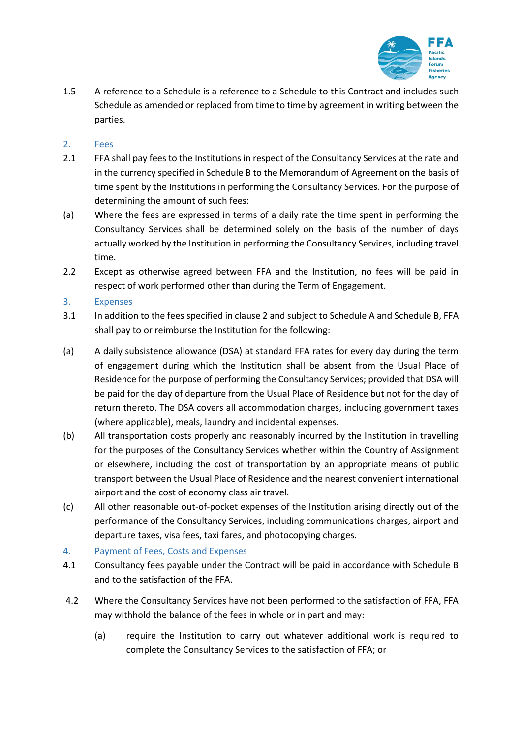

1.5 A reference to a Schedule is a reference to a Schedule to this Contract and includes such Schedule as amended or replaced from time to time by agreement in writing between the parties.

### 2. Fees

- 2.1 FFA shall pay fees to the Institutions in respect of the Consultancy Services at the rate and in the currency specified in Schedule B to the Memorandum of Agreement on the basis of time spent by the Institutions in performing the Consultancy Services. For the purpose of determining the amount of such fees:
- (a) Where the fees are expressed in terms of a daily rate the time spent in performing the Consultancy Services shall be determined solely on the basis of the number of days actually worked by the Institution in performing the Consultancy Services, including travel time.
- 2.2 Except as otherwise agreed between FFA and the Institution, no fees will be paid in respect of work performed other than during the Term of Engagement.

### 3. Expenses

- 3.1 In addition to the fees specified in clause 2 and subject to Schedule A and Schedule B, FFA shall pay to or reimburse the Institution for the following:
- (a) A daily subsistence allowance (DSA) at standard FFA rates for every day during the term of engagement during which the Institution shall be absent from the Usual Place of Residence for the purpose of performing the Consultancy Services; provided that DSA will be paid for the day of departure from the Usual Place of Residence but not for the day of return thereto. The DSA covers all accommodation charges, including government taxes (where applicable), meals, laundry and incidental expenses.
- (b) All transportation costs properly and reasonably incurred by the Institution in travelling for the purposes of the Consultancy Services whether within the Country of Assignment or elsewhere, including the cost of transportation by an appropriate means of public transport between the Usual Place of Residence and the nearest convenient international airport and the cost of economy class air travel.
- (c) All other reasonable out-of-pocket expenses of the Institution arising directly out of the performance of the Consultancy Services, including communications charges, airport and departure taxes, visa fees, taxi fares, and photocopying charges.

## 4. Payment of Fees, Costs and Expenses

- 4.1 Consultancy fees payable under the Contract will be paid in accordance with Schedule B and to the satisfaction of the FFA.
- 4.2 Where the Consultancy Services have not been performed to the satisfaction of FFA, FFA may withhold the balance of the fees in whole or in part and may:
	- (a) require the Institution to carry out whatever additional work is required to complete the Consultancy Services to the satisfaction of FFA; or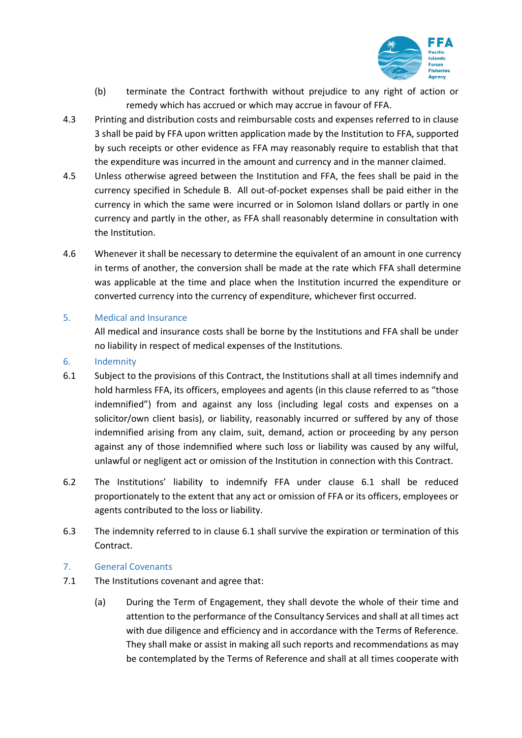

- (b) terminate the Contract forthwith without prejudice to any right of action or remedy which has accrued or which may accrue in favour of FFA.
- 4.3 Printing and distribution costs and reimbursable costs and expenses referred to in clause 3 shall be paid by FFA upon written application made by the Institution to FFA, supported by such receipts or other evidence as FFA may reasonably require to establish that that the expenditure was incurred in the amount and currency and in the manner claimed.
- 4.5 Unless otherwise agreed between the Institution and FFA, the fees shall be paid in the currency specified in Schedule B. All out-of-pocket expenses shall be paid either in the currency in which the same were incurred or in Solomon Island dollars or partly in one currency and partly in the other, as FFA shall reasonably determine in consultation with the Institution.
- 4.6 Whenever it shall be necessary to determine the equivalent of an amount in one currency in terms of another, the conversion shall be made at the rate which FFA shall determine was applicable at the time and place when the Institution incurred the expenditure or converted currency into the currency of expenditure, whichever first occurred.
- 5. Medical and Insurance

All medical and insurance costs shall be borne by the Institutions and FFA shall be under no liability in respect of medical expenses of the Institutions.

- 6. Indemnity
- 6.1 Subject to the provisions of this Contract, the Institutions shall at all times indemnify and hold harmless FFA, its officers, employees and agents (in this clause referred to as "those indemnified") from and against any loss (including legal costs and expenses on a solicitor/own client basis), or liability, reasonably incurred or suffered by any of those indemnified arising from any claim, suit, demand, action or proceeding by any person against any of those indemnified where such loss or liability was caused by any wilful, unlawful or negligent act or omission of the Institution in connection with this Contract.
- 6.2 The Institutions' liability to indemnify FFA under clause 6.1 shall be reduced proportionately to the extent that any act or omission of FFA or its officers, employees or agents contributed to the loss or liability.
- 6.3 The indemnity referred to in clause 6.1 shall survive the expiration or termination of this Contract.
- 7. General Covenants
- 7.1 The Institutions covenant and agree that:
	- (a) During the Term of Engagement, they shall devote the whole of their time and attention to the performance of the Consultancy Services and shall at all times act with due diligence and efficiency and in accordance with the Terms of Reference. They shall make or assist in making all such reports and recommendations as may be contemplated by the Terms of Reference and shall at all times cooperate with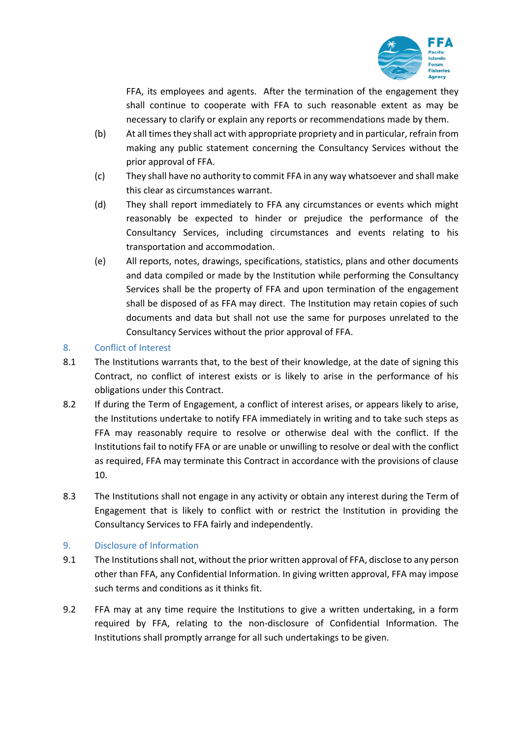

FFA, its employees and agents. After the termination of the engagement they shall continue to cooperate with FFA to such reasonable extent as may be necessary to clarify or explain any reports or recommendations made by them.

- (b) At all times they shall act with appropriate propriety and in particular, refrain from making any public statement concerning the Consultancy Services without the prior approval of FFA.
- (c) They shall have no authority to commit FFA in any way whatsoever and shall make this clear as circumstances warrant.
- (d) They shall report immediately to FFA any circumstances or events which might reasonably be expected to hinder or prejudice the performance of the Consultancy Services, including circumstances and events relating to his transportation and accommodation.
- (e) All reports, notes, drawings, specifications, statistics, plans and other documents and data compiled or made by the Institution while performing the Consultancy Services shall be the property of FFA and upon termination of the engagement shall be disposed of as FFA may direct. The Institution may retain copies of such documents and data but shall not use the same for purposes unrelated to the Consultancy Services without the prior approval of FFA.

## 8. Conflict of Interest

- 8.1 The Institutions warrants that, to the best of their knowledge, at the date of signing this Contract, no conflict of interest exists or is likely to arise in the performance of his obligations under this Contract.
- 8.2 If during the Term of Engagement, a conflict of interest arises, or appears likely to arise, the Institutions undertake to notify FFA immediately in writing and to take such steps as FFA may reasonably require to resolve or otherwise deal with the conflict. If the Institutions fail to notify FFA or are unable or unwilling to resolve or deal with the conflict as required, FFA may terminate this Contract in accordance with the provisions of clause 10.
- 8.3 The Institutions shall not engage in any activity or obtain any interest during the Term of Engagement that is likely to conflict with or restrict the Institution in providing the Consultancy Services to FFA fairly and independently.

## 9. Disclosure of Information

- 9.1 The Institutions shall not, without the prior written approval of FFA, disclose to any person other than FFA, any Confidential Information. In giving written approval, FFA may impose such terms and conditions as it thinks fit.
- 9.2 FFA may at any time require the Institutions to give a written undertaking, in a form required by FFA, relating to the non-disclosure of Confidential Information. The Institutions shall promptly arrange for all such undertakings to be given.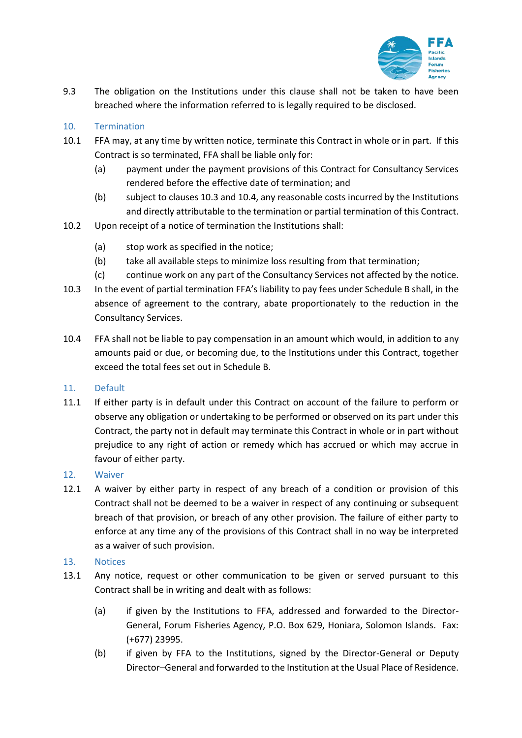

9.3 The obligation on the Institutions under this clause shall not be taken to have been breached where the information referred to is legally required to be disclosed.

### 10. Termination

- 10.1 FFA may, at any time by written notice, terminate this Contract in whole or in part. If this Contract is so terminated, FFA shall be liable only for:
	- (a) payment under the payment provisions of this Contract for Consultancy Services rendered before the effective date of termination; and
	- (b) subject to clauses 10.3 and 10.4, any reasonable costs incurred by the Institutions and directly attributable to the termination or partial termination of this Contract.
- 10.2 Upon receipt of a notice of termination the Institutions shall:
	- (a) stop work as specified in the notice;
	- (b) take all available steps to minimize loss resulting from that termination;
	- (c) continue work on any part of the Consultancy Services not affected by the notice.
- 10.3 In the event of partial termination FFA's liability to pay fees under Schedule B shall, in the absence of agreement to the contrary, abate proportionately to the reduction in the Consultancy Services.
- 10.4 FFA shall not be liable to pay compensation in an amount which would, in addition to any amounts paid or due, or becoming due, to the Institutions under this Contract, together exceed the total fees set out in Schedule B.

#### 11. Default

11.1 If either party is in default under this Contract on account of the failure to perform or observe any obligation or undertaking to be performed or observed on its part under this Contract, the party not in default may terminate this Contract in whole or in part without prejudice to any right of action or remedy which has accrued or which may accrue in favour of either party.

#### 12. Waiver

12.1 A waiver by either party in respect of any breach of a condition or provision of this Contract shall not be deemed to be a waiver in respect of any continuing or subsequent breach of that provision, or breach of any other provision. The failure of either party to enforce at any time any of the provisions of this Contract shall in no way be interpreted as a waiver of such provision.

#### 13. Notices

- 13.1 Any notice, request or other communication to be given or served pursuant to this Contract shall be in writing and dealt with as follows:
	- (a) if given by the Institutions to FFA, addressed and forwarded to the Director-General, Forum Fisheries Agency, P.O. Box 629, Honiara, Solomon Islands. Fax: (+677) 23995.
	- (b) if given by FFA to the Institutions, signed by the Director-General or Deputy Director–General and forwarded to the Institution at the Usual Place of Residence.